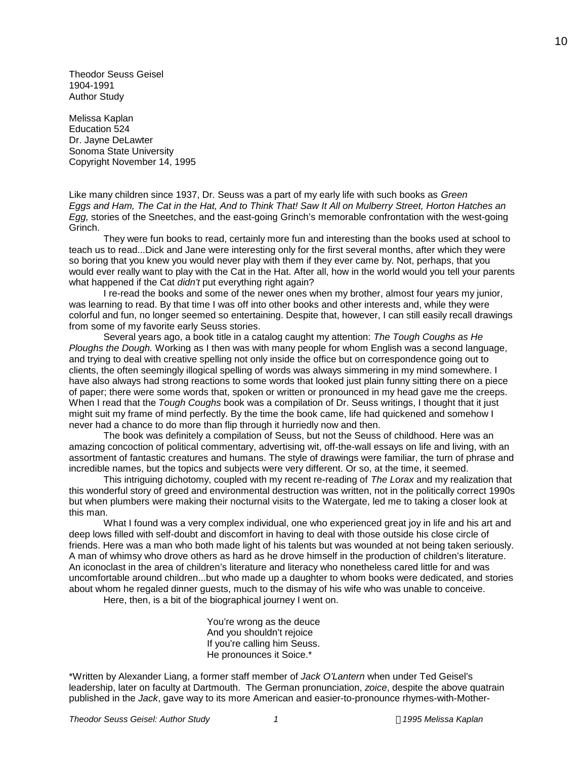Theodor Seuss Geisel 1904-1991 Author Study

Melissa Kaplan Education 524 Dr. Jayne DeLawter Sonoma State University Copyright November 14, 1995

Like many children since 1937, Dr. Seuss was a part of my early life with such books as *Green Eggs and Ham, The Cat in the Hat, And to Think That! Saw It All on Mulberry Street, Horton Hatches an Egg,* stories of the Sneetches, and the east-going Grinch's memorable confrontation with the west-going Grinch.

They were fun books to read, certainly more fun and interesting than the books used at school to teach us to read...Dick and Jane were interesting only for the first several months, after which they were so boring that you knew you would never play with them if they ever came by. Not, perhaps, that you would ever really want to play with the Cat in the Hat. After all, how in the world would you tell your parents what happened if the Cat *didn't* put everything right again?

I re-read the books and some of the newer ones when my brother, almost four years my junior, was learning to read. By that time I was off into other books and other interests and, while they were colorful and fun, no longer seemed so entertaining. Despite that, however, I can still easily recall drawings from some of my favorite early Seuss stories.

Several years ago, a book title in a catalog caught my attention: *The Tough Coughs as He Ploughs the Dough.* Working as I then was with many people for whom English was a second language, and trying to deal with creative spelling not only inside the office but on correspondence going out to clients, the often seemingly illogical spelling of words was always simmering in my mind somewhere. I have also always had strong reactions to some words that looked just plain funny sitting there on a piece of paper; there were some words that, spoken or written or pronounced in my head gave me the creeps. When I read that the *Tough Coughs* book was a compilation of Dr. Seuss writings, I thought that it just might suit my frame of mind perfectly. By the time the book came, life had quickened and somehow I never had a chance to do more than flip through it hurriedly now and then.

The book was definitely a compilation of Seuss, but not the Seuss of childhood. Here was an amazing concoction of political commentary, advertising wit, off-the-wall essays on life and living, with an assortment of fantastic creatures and humans. The style of drawings were familiar, the turn of phrase and incredible names, but the topics and subjects were very different. Or so, at the time, it seemed.

This intriguing dichotomy, coupled with my recent re-reading of *The Lorax* and my realization that this wonderful story of greed and environmental destruction was written, not in the politically correct 1990s but when plumbers were making their nocturnal visits to the Watergate, led me to taking a closer look at this man.

What I found was a very complex individual, one who experienced great joy in life and his art and deep lows filled with self-doubt and discomfort in having to deal with those outside his close circle of friends. Here was a man who both made light of his talents but was wounded at not being taken seriously. A man of whimsy who drove others as hard as he drove himself in the production of children's literature. An iconoclast in the area of children's literature and literacy who nonetheless cared little for and was uncomfortable around children...but who made up a daughter to whom books were dedicated, and stories about whom he regaled dinner guests, much to the dismay of his wife who was unable to conceive.

Here, then, is a bit of the biographical journey I went on.

You're wrong as the deuce And you shouldn't rejoice If you're calling him Seuss. He pronounces it Soice.\*

\*Written by Alexander Liang, a former staff member of *Jack O'Lantern* when under Ted Geisel's leadership, later on faculty at Dartmouth. The German pronunciation, *zoice*, despite the above quatrain published in the *Jack*, gave way to its more American and easier-to-pronounce rhymes-with-Mother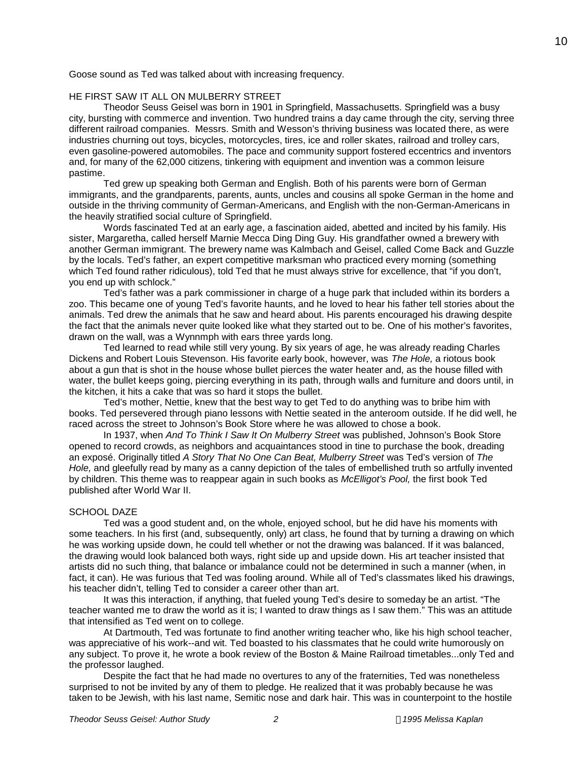Goose sound as Ted was talked about with increasing frequency.

## HE FIRST SAW IT ALL ON MULBERRY STREET

Theodor Seuss Geisel was born in 1901 in Springfield, Massachusetts. Springfield was a busy city, bursting with commerce and invention. Two hundred trains a day came through the city, serving three different railroad companies. Messrs. Smith and Wesson's thriving business was located there, as were industries churning out toys, bicycles, motorcycles, tires, ice and roller skates, railroad and trolley cars, even gasoline-powered automobiles. The pace and community support fostered eccentrics and inventors and, for many of the 62,000 citizens, tinkering with equipment and invention was a common leisure pastime.

Ted grew up speaking both German and English. Both of his parents were born of German immigrants, and the grandparents, parents, aunts, uncles and cousins all spoke German in the home and outside in the thriving community of German-Americans, and English with the non-German-Americans in the heavily stratified social culture of Springfield.

Words fascinated Ted at an early age, a fascination aided, abetted and incited by his family. His sister, Margaretha, called herself Marnie Mecca Ding Ding Guy. His grandfather owned a brewery with another German immigrant. The brewery name was Kalmbach and Geisel, called Come Back and Guzzle by the locals. Ted's father, an expert competitive marksman who practiced every morning (something which Ted found rather ridiculous), told Ted that he must always strive for excellence, that "if you don't, you end up with schlock."

Ted's father was a park commissioner in charge of a huge park that included within its borders a zoo. This became one of young Ted's favorite haunts, and he loved to hear his father tell stories about the animals. Ted drew the animals that he saw and heard about. His parents encouraged his drawing despite the fact that the animals never quite looked like what they started out to be. One of his mother's favorites, drawn on the wall, was a Wynnmph with ears three yards long.

Ted learned to read while still very young. By six years of age, he was already reading Charles Dickens and Robert Louis Stevenson. His favorite early book, however, was *The Hole,* a riotous book about a gun that is shot in the house whose bullet pierces the water heater and, as the house filled with water, the bullet keeps going, piercing everything in its path, through walls and furniture and doors until, in the kitchen, it hits a cake that was so hard it stops the bullet.

Ted's mother, Nettie, knew that the best way to get Ted to do anything was to bribe him with books. Ted persevered through piano lessons with Nettie seated in the anteroom outside. If he did well, he raced across the street to Johnson's Book Store where he was allowed to chose a book.

In 1937, when *And To Think I Saw It On Mulberry Street* was published, Johnson's Book Store opened to record crowds, as neighbors and acquaintances stood in tine to purchase the book, dreading an exposé. Originally titled *A Story That No One Can Beat, Mulberry Street* was Ted's version of *The Hole,* and gleefully read by many as a canny depiction of the tales of embellished truth so artfully invented by children. This theme was to reappear again in such books as *McElligot's Pool,* the first book Ted published after World War II.

### SCHOOL DAZE

Ted was a good student and, on the whole, enjoyed school, but he did have his moments with some teachers. In his first (and, subsequently, only) art class, he found that by turning a drawing on which he was working upside down, he could tell whether or not the drawing was balanced. If it was balanced, the drawing would look balanced both ways, right side up and upside down. His art teacher insisted that artists did no such thing, that balance or imbalance could not be determined in such a manner (when, in fact, it can). He was furious that Ted was fooling around. While all of Ted's classmates liked his drawings, his teacher didn't, telling Ted to consider a career other than art.

It was this interaction, if anything, that fueled young Ted's desire to someday be an artist. "The teacher wanted me to draw the world as it is; I wanted to draw things as I saw them." This was an attitude that intensified as Ted went on to college.

At Dartmouth, Ted was fortunate to find another writing teacher who, like his high school teacher, was appreciative of his work--and wit. Ted boasted to his classmates that he could write humorously on any subject. To prove it, he wrote a book review of the Boston & Maine Railroad timetables...only Ted and the professor laughed.

Despite the fact that he had made no overtures to any of the fraternities, Ted was nonetheless surprised to not be invited by any of them to pledge. He realized that it was probably because he was taken to be Jewish, with his last name, Semitic nose and dark hair. This was in counterpoint to the hostile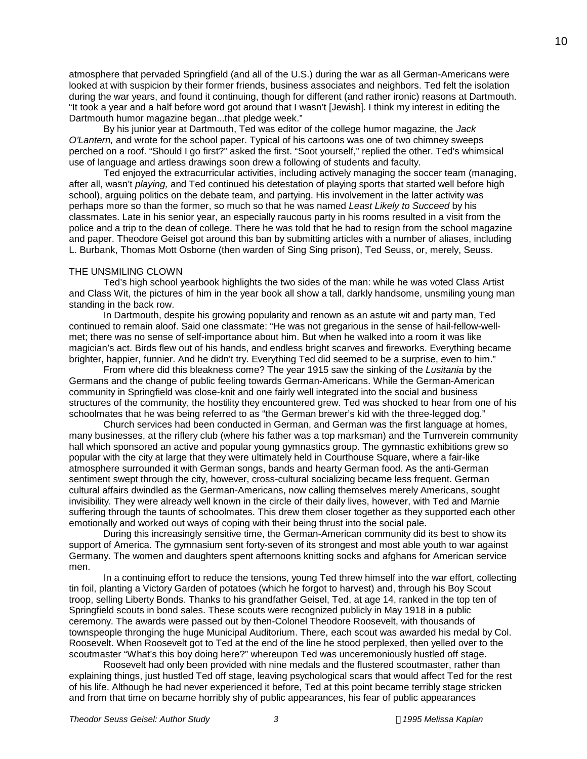atmosphere that pervaded Springfield (and all of the U.S.) during the war as all German-Americans were looked at with suspicion by their former friends, business associates and neighbors. Ted felt the isolation during the war years, and found it continuing, though for different (and rather ironic) reasons at Dartmouth. "It took a year and a half before word got around that I wasn't [Jewish]. I think my interest in editing the Dartmouth humor magazine began...that pledge week."

By his junior year at Dartmouth, Ted was editor of the college humor magazine, the *Jack O'Lantern,* and wrote for the school paper. Typical of his cartoons was one of two chimney sweeps perched on a roof. "Should I go first?" asked the first. "Soot yourself," replied the other. Ted's whimsical use of language and artless drawings soon drew a following of students and faculty.

Ted enjoyed the extracurricular activities, including actively managing the soccer team (managing, after all, wasn't *playing,* and Ted continued his detestation of playing sports that started well before high school), arguing politics on the debate team, and partying. His involvement in the latter activity was perhaps more so than the former, so much so that he was named *Least Likely to Succeed* by his classmates. Late in his senior year, an especially raucous party in his rooms resulted in a visit from the police and a trip to the dean of college. There he was told that he had to resign from the school magazine and paper. Theodore Geisel got around this ban by submitting articles with a number of aliases, including L. Burbank, Thomas Mott Osborne (then warden of Sing Sing prison), Ted Seuss, or, merely, Seuss.

#### THE UNSMILING CLOWN

Ted's high school yearbook highlights the two sides of the man: while he was voted Class Artist and Class Wit, the pictures of him in the year book all show a tall, darkly handsome, unsmiling young man standing in the back row.

In Dartmouth, despite his growing popularity and renown as an astute wit and party man, Ted continued to remain aloof. Said one classmate: "He was not gregarious in the sense of hail-fellow-wellmet; there was no sense of self-importance about him. But when he walked into a room it was like magician's act. Birds flew out of his hands, and endless bright scarves and fireworks. Everything became brighter, happier, funnier. And he didn't try. Everything Ted did seemed to be a surprise, even to him."

From where did this bleakness come? The year 1915 saw the sinking of the *Lusitania* by the Germans and the change of public feeling towards German-Americans. While the German-American community in Springfield was close-knit and one fairly well integrated into the social and business structures of the community, the hostility they encountered grew. Ted was shocked to hear from one of his schoolmates that he was being referred to as "the German brewer's kid with the three-legged dog."

Church services had been conducted in German, and German was the first language at homes, many businesses, at the riflery club (where his father was a top marksman) and the Turnverein community hall which sponsored an active and popular young gymnastics group. The gymnastic exhibitions grew so popular with the city at large that they were ultimately held in Courthouse Square, where a fair-like atmosphere surrounded it with German songs, bands and hearty German food. As the anti-German sentiment swept through the city, however, cross-cultural socializing became less frequent. German cultural affairs dwindled as the German-Americans, now calling themselves merely Americans, sought invisibility. They were already well known in the circle of their daily lives, however, with Ted and Marnie suffering through the taunts of schoolmates. This drew them closer together as they supported each other emotionally and worked out ways of coping with their being thrust into the social pale.

During this increasingly sensitive time, the German-American community did its best to show its support of America. The gymnasium sent forty-seven of its strongest and most able youth to war against Germany. The women and daughters spent afternoons knitting socks and afghans for American service men.

In a continuing effort to reduce the tensions, young Ted threw himself into the war effort, collecting tin foil, planting a Victory Garden of potatoes (which he forgot to harvest) and, through his Boy Scout troop, selling Liberty Bonds. Thanks to his grandfather Geisel, Ted, at age 14, ranked in the top ten of Springfield scouts in bond sales. These scouts were recognized publicly in May 1918 in a public ceremony. The awards were passed out by then-Colonel Theodore Roosevelt, with thousands of townspeople thronging the huge Municipal Auditorium. There, each scout was awarded his medal by Col. Roosevelt. When Roosevelt got to Ted at the end of the line he stood perplexed, then yelled over to the scoutmaster "What's this boy doing here?" whereupon Ted was unceremoniously hustled off stage.

Roosevelt had only been provided with nine medals and the flustered scoutmaster, rather than explaining things, just hustled Ted off stage, leaving psychological scars that would affect Ted for the rest of his life. Although he had never experienced it before, Ted at this point became terribly stage stricken and from that time on became horribly shy of public appearances, his fear of public appearances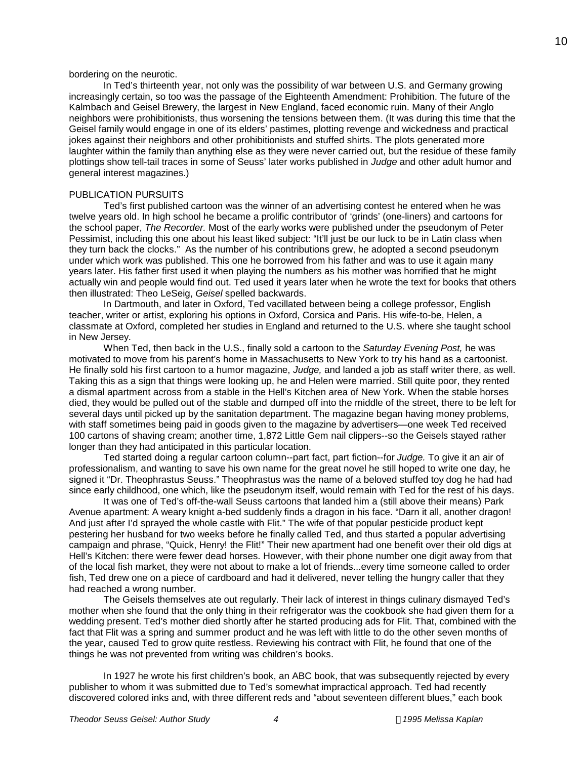### bordering on the neurotic.

In Ted's thirteenth year, not only was the possibility of war between U.S. and Germany growing increasingly certain, so too was the passage of the Eighteenth Amendment: Prohibition. The future of the Kalmbach and Geisel Brewery, the largest in New England, faced economic ruin. Many of their Anglo neighbors were prohibitionists, thus worsening the tensions between them. (It was during this time that the Geisel family would engage in one of its elders' pastimes, plotting revenge and wickedness and practical jokes against their neighbors and other prohibitionists and stuffed shirts. The plots generated more laughter within the family than anything else as they were never carried out, but the residue of these family plottings show tell-tail traces in some of Seuss' later works published in *Judge* and other adult humor and general interest magazines.)

### PUBLICATION PURSUITS

Ted's first published cartoon was the winner of an advertising contest he entered when he was twelve years old. In high school he became a prolific contributor of 'grinds' (one-liners) and cartoons for the school paper, *The Recorder.* Most of the early works were published under the pseudonym of Peter Pessimist, including this one about his least liked subject: "It'll just be our luck to be in Latin class when they turn back the clocks." As the number of his contributions grew, he adopted a second pseudonym under which work was published. This one he borrowed from his father and was to use it again many years later. His father first used it when playing the numbers as his mother was horrified that he might actually win and people would find out. Ted used it years later when he wrote the text for books that others then illustrated: Theo LeSeig, *Geisel* spelled backwards.

In Dartmouth, and later in Oxford, Ted vacillated between being a college professor, English teacher, writer or artist, exploring his options in Oxford, Corsica and Paris. His wife-to-be, Helen, a classmate at Oxford, completed her studies in England and returned to the U.S. where she taught school in New Jersey.

When Ted, then back in the U.S., finally sold a cartoon to the *Saturday Evening Post,* he was motivated to move from his parent's home in Massachusetts to New York to try his hand as a cartoonist. He finally sold his first cartoon to a humor magazine, *Judge,* and landed a job as staff writer there, as well. Taking this as a sign that things were looking up, he and Helen were married. Still quite poor, they rented a dismal apartment across from a stable in the Hell's Kitchen area of New York. When the stable horses died, they would be pulled out of the stable and dumped off into the middle of the street, there to be left for several days until picked up by the sanitation department. The magazine began having money problems, with staff sometimes being paid in goods given to the magazine by advertisers—one week Ted received 100 cartons of shaving cream; another time, 1,872 Little Gem nail clippers--so the Geisels stayed rather longer than they had anticipated in this particular location.

Ted started doing a regular cartoon column--part fact, part fiction--for *Judge.* To give it an air of professionalism, and wanting to save his own name for the great novel he still hoped to write one day, he signed it "Dr. Theophrastus Seuss." Theophrastus was the name of a beloved stuffed toy dog he had had since early childhood, one which, like the pseudonym itself, would remain with Ted for the rest of his days.

It was one of Ted's off-the-wall Seuss cartoons that landed him a (still above their means) Park Avenue apartment: A weary knight a-bed suddenly finds a dragon in his face. "Darn it all, another dragon! And just after I'd sprayed the whole castle with Flit." The wife of that popular pesticide product kept pestering her husband for two weeks before he finally called Ted, and thus started a popular advertising campaign and phrase, "Quick, Henry! the Flit!" Their new apartment had one benefit over their old digs at Hell's Kitchen: there were fewer dead horses. However, with their phone number one digit away from that of the local fish market, they were not about to make a lot of friends...every time someone called to order fish, Ted drew one on a piece of cardboard and had it delivered, never telling the hungry caller that they had reached a wrong number.

The Geisels themselves ate out regularly. Their lack of interest in things culinary dismayed Ted's mother when she found that the only thing in their refrigerator was the cookbook she had given them for a wedding present. Ted's mother died shortly after he started producing ads for Flit. That, combined with the fact that Flit was a spring and summer product and he was left with little to do the other seven months of the year, caused Ted to grow quite restless. Reviewing his contract with Flit, he found that one of the things he was not prevented from writing was children's books.

In 1927 he wrote his first children's book, an ABC book, that was subsequently rejected by every publisher to whom it was submitted due to Ted's somewhat impractical approach. Ted had recently discovered colored inks and, with three different reds and "about seventeen different blues," each book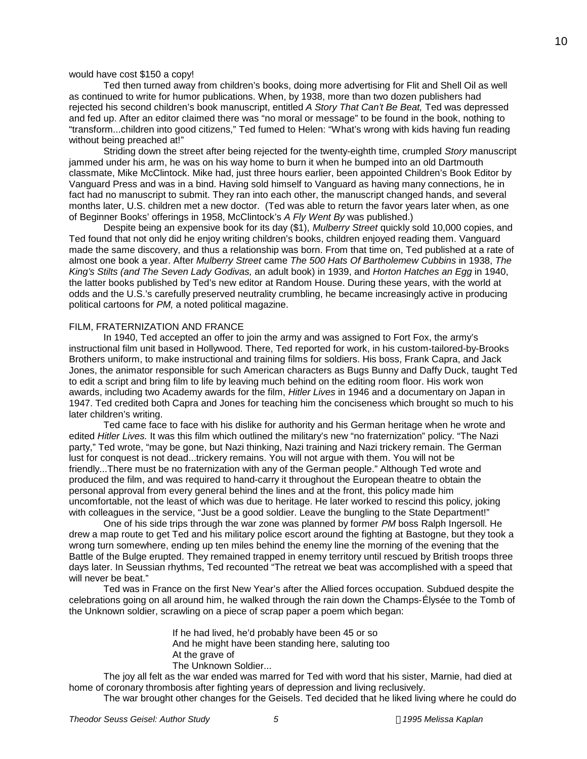## would have cost \$150 a copy!

Ted then turned away from children's books, doing more advertising for Flit and Shell Oil as well as continued to write for humor publications. When, by 1938, more than two dozen publishers had rejected his second children's book manuscript, entitled *A Story That Can't Be Beat,* Ted was depressed and fed up. After an editor claimed there was "no moral or message" to be found in the book, nothing to "transform...children into good citizens," Ted fumed to Helen: "What's wrong with kids having fun reading without being preached at!"

Striding down the street after being rejected for the twenty-eighth time, crumpled *Story* manuscript jammed under his arm, he was on his way home to burn it when he bumped into an old Dartmouth classmate, Mike McClintock. Mike had, just three hours earlier, been appointed Children's Book Editor by Vanguard Press and was in a bind. Having sold himself to Vanguard as having many connections, he in fact had no manuscript to submit. They ran into each other, the manuscript changed hands, and several months later, U.S. children met a new doctor. (Ted was able to return the favor years later when, as one of Beginner Books' offerings in 1958, McClintock's *A Fly Went By* was published.)

Despite being an expensive book for its day (\$1), *Mulberry Street* quickly sold 10,000 copies, and Ted found that not only did he enjoy writing children's books, children enjoyed reading them. Vanguard made the same discovery, and thus a relationship was born. From that time on, Ted published at a rate of almost one book a year. After *Mulberry Street* came *The 500 Hats Of Bartholemew Cubbins* in 1938, *The King's Stilts (and The Seven Lady Godivas,* an adult book) in 1939, and *Horton Hatches an Egg* in 1940, the latter books published by Ted's new editor at Random House. During these years, with the world at odds and the U.S.'s carefully preserved neutrality crumbling, he became increasingly active in producing political cartoons for *PM,* a noted political magazine.

#### FILM, FRATERNIZATION AND FRANCE

In 1940, Ted accepted an offer to join the army and was assigned to Fort Fox, the army's instructional film unit based in Hollywood. There, Ted reported for work, in his custom-tailored-by-Brooks Brothers uniform, to make instructional and training films for soldiers. His boss, Frank Capra, and Jack Jones, the animator responsible for such American characters as Bugs Bunny and Daffy Duck, taught Ted to edit a script and bring film to life by leaving much behind on the editing room floor. His work won awards, including two Academy awards for the film, *Hitler Lives* in 1946 and a documentary on Japan in 1947. Ted credited both Capra and Jones for teaching him the conciseness which brought so much to his later children's writing.

Ted came face to face with his dislike for authority and his German heritage when he wrote and edited *Hitler Lives.* It was this film which outlined the military's new "no fraternization" policy. "The Nazi party," Ted wrote, "may be gone, but Nazi thinking, Nazi training and Nazi trickery remain. The German lust for conquest is not dead...trickery remains. You will not argue with them. You will not be friendly...There must be no fraternization with any of the German people." Although Ted wrote and produced the film, and was required to hand-carry it throughout the European theatre to obtain the personal approval from every general behind the lines and at the front, this policy made him uncomfortable, not the least of which was due to heritage. He later worked to rescind this policy, joking with colleagues in the service, "Just be a good soldier. Leave the bungling to the State Department!"

One of his side trips through the war zone was planned by former *PM* boss Ralph Ingersoll. He drew a map route to get Ted and his military police escort around the fighting at Bastogne, but they took a wrong turn somewhere, ending up ten miles behind the enemy line the morning of the evening that the Battle of the Bulge erupted. They remained trapped in enemy territory until rescued by British troops three days later. In Seussian rhythms, Ted recounted "The retreat we beat was accomplished with a speed that will never be beat."

Ted was in France on the first New Year's after the Allied forces occupation. Subdued despite the celebrations going on all around him, he walked through the rain down the Champs-Élysée to the Tomb of the Unknown soldier, scrawling on a piece of scrap paper a poem which began:

> If he had lived, he'd probably have been 45 or so And he might have been standing here, saluting too At the grave of The Unknown Soldier...

The joy all felt as the war ended was marred for Ted with word that his sister, Marnie, had died at home of coronary thrombosis after fighting years of depression and living reclusively.

The war brought other changes for the Geisels. Ted decided that he liked living where he could do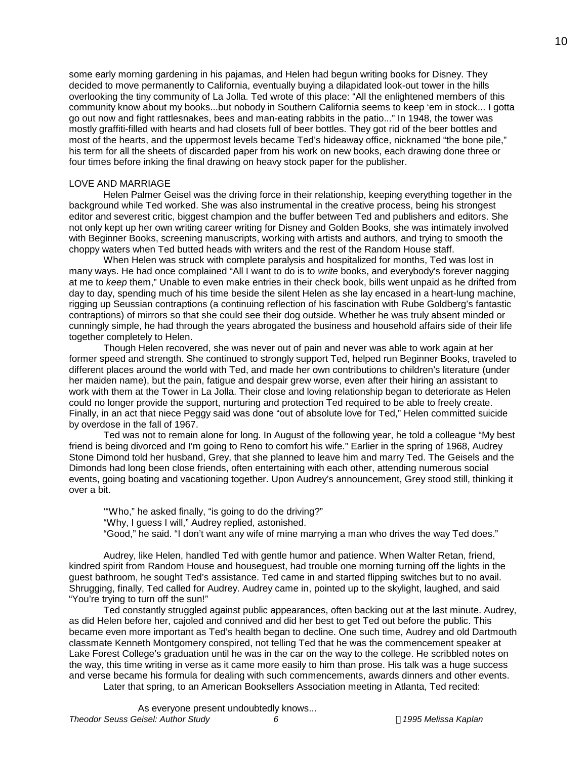some early morning gardening in his pajamas, and Helen had begun writing books for Disney. They decided to move permanently to California, eventually buying a dilapidated look-out tower in the hills overlooking the tiny community of La Jolla. Ted wrote of this place: "All the enlightened members of this community know about my books...but nobody in Southern California seems to keep 'em in stock... I gotta go out now and fight rattlesnakes, bees and man-eating rabbits in the patio..." In 1948, the tower was mostly graffiti-filled with hearts and had closets full of beer bottles. They got rid of the beer bottles and most of the hearts, and the uppermost levels became Ted's hideaway office, nicknamed "the bone pile," his term for all the sheets of discarded paper from his work on new books, each drawing done three or four times before inking the final drawing on heavy stock paper for the publisher.

### LOVE AND MARRIAGE

Helen Palmer Geisel was the driving force in their relationship, keeping everything together in the background while Ted worked. She was also instrumental in the creative process, being his strongest editor and severest critic, biggest champion and the buffer between Ted and publishers and editors. She not only kept up her own writing career writing for Disney and Golden Books, she was intimately involved with Beginner Books, screening manuscripts, working with artists and authors, and trying to smooth the choppy waters when Ted butted heads with writers and the rest of the Random House staff.

When Helen was struck with complete paralysis and hospitalized for months, Ted was lost in many ways. He had once complained "All I want to do is to *write* books, and everybody's forever nagging at me to *keep* them," Unable to even make entries in their check book, bills went unpaid as he drifted from day to day, spending much of his time beside the silent Helen as she lay encased in a heart-lung machine, rigging up Seussian contraptions (a continuing reflection of his fascination with Rube Goldberg's fantastic contraptions) of mirrors so that she could see their dog outside. Whether he was truly absent minded or cunningly simple, he had through the years abrogated the business and household affairs side of their life together completely to Helen.

Though Helen recovered, she was never out of pain and never was able to work again at her former speed and strength. She continued to strongly support Ted, helped run Beginner Books, traveled to different places around the world with Ted, and made her own contributions to children's literature (under her maiden name), but the pain, fatigue and despair grew worse, even after their hiring an assistant to work with them at the Tower in La Jolla. Their close and loving relationship began to deteriorate as Helen could no longer provide the support, nurturing and protection Ted required to be able to freely create. Finally, in an act that niece Peggy said was done "out of absolute love for Ted," Helen committed suicide by overdose in the fall of 1967.

Ted was not to remain alone for long. In August of the following year, he told a colleague "My best friend is being divorced and I'm going to Reno to comfort his wife." Earlier in the spring of 1968, Audrey Stone Dimond told her husband, Grey, that she planned to leave him and marry Ted. The Geisels and the Dimonds had long been close friends, often entertaining with each other, attending numerous social events, going boating and vacationing together. Upon Audrey's announcement, Grey stood still, thinking it over a bit.

'"Who," he asked finally, "is going to do the driving?"

- "Why, I guess I will," Audrey replied, astonished.
- "Good," he said. "I don't want any wife of mine marrying a man who drives the way Ted does."

Audrey, like Helen, handled Ted with gentle humor and patience. When Walter Retan, friend, kindred spirit from Random House and houseguest, had trouble one morning turning off the lights in the guest bathroom, he sought Ted's assistance. Ted came in and started flipping switches but to no avail. Shrugging, finally, Ted called for Audrey. Audrey came in, pointed up to the skylight, laughed, and said "You're trying to turn off the sun!"

Ted constantly struggled against public appearances, often backing out at the last minute. Audrey, as did Helen before her, cajoled and connived and did her best to get Ted out before the public. This became even more important as Ted's health began to decline. One such time, Audrey and old Dartmouth classmate Kenneth Montgomery conspired, not telling Ted that he was the commencement speaker at Lake Forest College's graduation until he was in the car on the way to the college. He scribbled notes on the way, this time writing in verse as it came more easily to him than prose. His talk was a huge success and verse became his formula for dealing with such commencements, awards dinners and other events. Later that spring, to an American Booksellers Association meeting in Atlanta, Ted recited: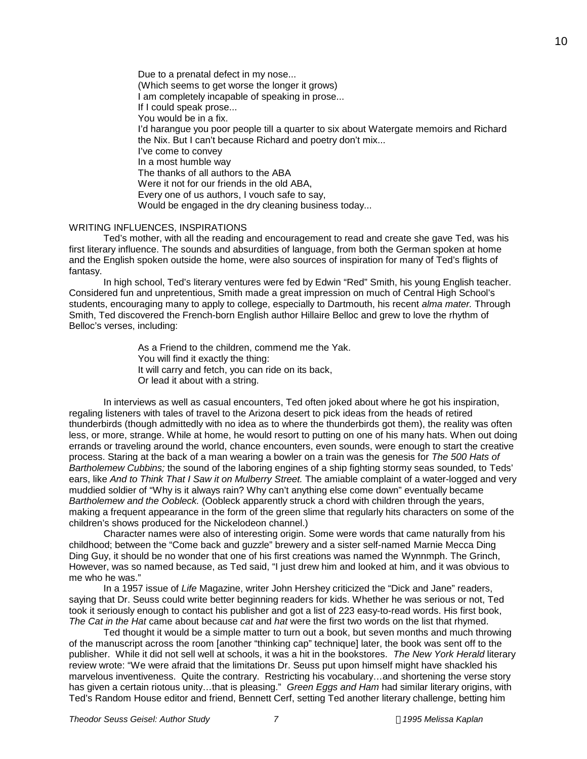Due to a prenatal defect in my nose... (Which seems to get worse the longer it grows) I am completely incapable of speaking in prose... If I could speak prose... You would be in a fix. I'd harangue you poor people till a quarter to six about Watergate memoirs and Richard the Nix. But I can't because Richard and poetry don't mix... I've come to convey In a most humble way The thanks of all authors to the ABA Were it not for our friends in the old ABA, Every one of us authors, I vouch safe to say, Would be engaged in the dry cleaning business today...

## WRITING INFLUENCES, INSPIRATIONS

Ted's mother, with all the reading and encouragement to read and create she gave Ted, was his first literary influence. The sounds and absurdities of language, from both the German spoken at home and the English spoken outside the home, were also sources of inspiration for many of Ted's flights of fantasy.

In high school, Ted's literary ventures were fed by Edwin "Red" Smith, his young English teacher. Considered fun and unpretentious, Smith made a great impression on much of Central High School's students, encouraging many to apply to college, especially to Dartmouth, his recent *alma mater.* Through Smith, Ted discovered the French-born English author Hillaire Belloc and grew to love the rhythm of Belloc's verses, including:

> As a Friend to the children, commend me the Yak. You will find it exactly the thing: It will carry and fetch, you can ride on its back, Or lead it about with a string.

In interviews as well as casual encounters, Ted often joked about where he got his inspiration, regaling listeners with tales of travel to the Arizona desert to pick ideas from the heads of retired thunderbirds (though admittedly with no idea as to where the thunderbirds got them), the reality was often less, or more, strange. While at home, he would resort to putting on one of his many hats. When out doing errands or traveling around the world, chance encounters, even sounds, were enough to start the creative process. Staring at the back of a man wearing a bowler on a train was the genesis for *The 500 Hats of Bartholemew Cubbins;* the sound of the laboring engines of a ship fighting stormy seas sounded, to Teds' ears, like *And to Think That I Saw it on Mulberry Street*. The amiable complaint of a water-logged and very muddied soldier of "Why is it always rain? Why can't anything else come down" eventually became *Bartholemew and the Oobleck.* (Oobleck apparently struck a chord with children through the years, making a frequent appearance in the form of the green slime that regularly hits characters on some of the children's shows produced for the Nickelodeon channel.)

Character names were also of interesting origin. Some were words that came naturally from his childhood; between the "Come back and guzzle" brewery and a sister self-named Marnie Mecca Ding Ding Guy, it should be no wonder that one of his first creations was named the Wynnmph. The Grinch, However, was so named because, as Ted said, "I just drew him and looked at him, and it was obvious to me who he was."

In a 1957 issue of *Life* Magazine, writer John Hershey criticized the "Dick and Jane" readers, saying that Dr. Seuss could write better beginning readers for kids. Whether he was serious or not, Ted took it seriously enough to contact his publisher and got a list of 223 easy-to-read words. His first book, *The Cat in the Hat* came about because *cat* and *hat* were the first two words on the list that rhymed.

Ted thought it would be a simple matter to turn out a book, but seven months and much throwing of the manuscript across the room [another "thinking cap" technique] later, the book was sent off to the publisher. While it did not sell well at schools, it was a hit in the bookstores. *The New York Herald* literary review wrote: "We were afraid that the limitations Dr. Seuss put upon himself might have shackled his marvelous inventiveness. Quite the contrary. Restricting his vocabulary…and shortening the verse story has given a certain riotous unity…that is pleasing." *Green Eggs and Ham* had similar literary origins, with Ted's Random House editor and friend, Bennett Cerf, setting Ted another literary challenge, betting him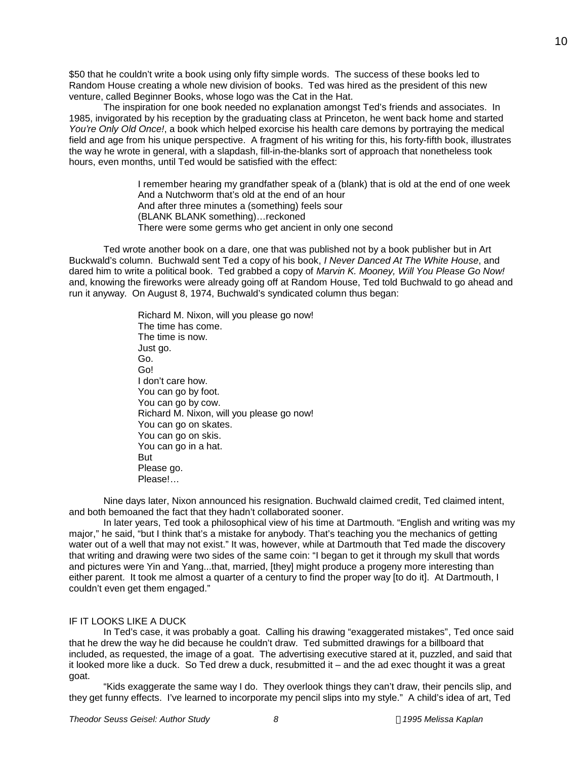\$50 that he couldn't write a book using only fifty simple words. The success of these books led to Random House creating a whole new division of books. Ted was hired as the president of this new venture, called Beginner Books, whose logo was the Cat in the Hat.

The inspiration for one book needed no explanation amongst Ted's friends and associates. In 1985, invigorated by his reception by the graduating class at Princeton, he went back home and started *You're Only Old Once!*, a book which helped exorcise his health care demons by portraying the medical field and age from his unique perspective. A fragment of his writing for this, his forty-fifth book, illustrates the way he wrote in general, with a slapdash, fill-in-the-blanks sort of approach that nonetheless took hours, even months, until Ted would be satisfied with the effect:

> I remember hearing my grandfather speak of a (blank) that is old at the end of one week And a Nutchworm that's old at the end of an hour And after three minutes a (something) feels sour (BLANK BLANK something)…reckoned There were some germs who get ancient in only one second

Ted wrote another book on a dare, one that was published not by a book publisher but in Art Buckwald's column. Buchwald sent Ted a copy of his book, *I Never Danced At The White House*, and dared him to write a political book. Ted grabbed a copy of *Marvin K. Mooney, Will You Please Go Now!* and, knowing the fireworks were already going off at Random House, Ted told Buchwald to go ahead and run it anyway. On August 8, 1974, Buchwald's syndicated column thus began:

> Richard M. Nixon, will you please go now! The time has come. The time is now. Just go. Go. Go! I don't care how. You can go by foot. You can go by cow. Richard M. Nixon, will you please go now! You can go on skates. You can go on skis. You can go in a hat. But Please go. Please!…

Nine days later, Nixon announced his resignation. Buchwald claimed credit, Ted claimed intent, and both bemoaned the fact that they hadn't collaborated sooner.

In later years, Ted took a philosophical view of his time at Dartmouth. "English and writing was my major," he said, "but I think that's a mistake for anybody. That's teaching you the mechanics of getting water out of a well that may not exist." It was, however, while at Dartmouth that Ted made the discovery that writing and drawing were two sides of the same coin: "I began to get it through my skull that words and pictures were Yin and Yang...that, married, [they] might produce a progeny more interesting than either parent. It took me almost a quarter of a century to find the proper way [to do it]. At Dartmouth, I couldn't even get them engaged."

## IF IT LOOKS LIKE A DUCK

In Ted's case, it was probably a goat. Calling his drawing "exaggerated mistakes", Ted once said that he drew the way he did because he couldn't draw. Ted submitted drawings for a billboard that included, as requested, the image of a goat. The advertising executive stared at it, puzzled, and said that it looked more like a duck. So Ted drew a duck, resubmitted it – and the ad exec thought it was a great goat.

"Kids exaggerate the same way I do. They overlook things they can't draw, their pencils slip, and they get funny effects. I've learned to incorporate my pencil slips into my style." A child's idea of art, Ted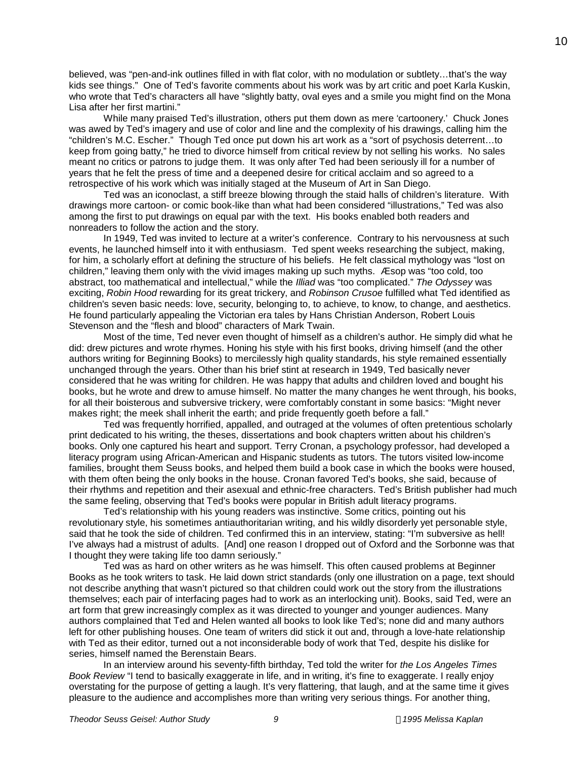believed, was "pen-and-ink outlines filled in with flat color, with no modulation or subtlety…that's the way kids see things." One of Ted's favorite comments about his work was by art critic and poet Karla Kuskin, who wrote that Ted's characters all have "slightly batty, oval eyes and a smile you might find on the Mona Lisa after her first martini."

While many praised Ted's illustration, others put them down as mere 'cartoonery.' Chuck Jones was awed by Ted's imagery and use of color and line and the complexity of his drawings, calling him the "children's M.C. Escher." Though Ted once put down his art work as a "sort of psychosis deterrent…to keep from going batty," he tried to divorce himself from critical review by not selling his works. No sales meant no critics or patrons to judge them. It was only after Ted had been seriously ill for a number of years that he felt the press of time and a deepened desire for critical acclaim and so agreed to a retrospective of his work which was initially staged at the Museum of Art in San Diego.

Ted was an iconoclast, a stiff breeze blowing through the staid halls of children's literature. With drawings more cartoon- or comic book-like than what had been considered "illustrations," Ted was also among the first to put drawings on equal par with the text. His books enabled both readers and nonreaders to follow the action and the story.

In 1949, Ted was invited to lecture at a writer's conference. Contrary to his nervousness at such events, he launched himself into it with enthusiasm. Ted spent weeks researching the subject, making, for him, a scholarly effort at defining the structure of his beliefs. He felt classical mythology was "lost on children," leaving them only with the vivid images making up such myths. Æsop was "too cold, too abstract, too mathematical and intellectual," while the *Illiad* was "too complicated." *The Odyssey* was exciting, *Robin Hood* rewarding for its great trickery, and *Robinson Crusoe* fulfilled what Ted identified as children's seven basic needs: love, security, belonging to, to achieve, to know, to change, and aesthetics. He found particularly appealing the Victorian era tales by Hans Christian Anderson, Robert Louis Stevenson and the "flesh and blood" characters of Mark Twain.

Most of the time, Ted never even thought of himself as a children's author. He simply did what he did: drew pictures and wrote rhymes. Honing his style with his first books, driving himself (and the other authors writing for Beginning Books) to mercilessly high quality standards, his style remained essentially unchanged through the years. Other than his brief stint at research in 1949, Ted basically never considered that he was writing for children. He was happy that adults and children loved and bought his books, but he wrote and drew to amuse himself. No matter the many changes he went through, his books, for all their boisterous and subversive trickery, were comfortably constant in some basics: "Might never makes right; the meek shall inherit the earth; and pride frequently goeth before a fall."

Ted was frequently horrified, appalled, and outraged at the volumes of often pretentious scholarly print dedicated to his writing, the theses, dissertations and book chapters written about his children's books. Only one captured his heart and support. Terry Cronan, a psychology professor, had developed a literacy program using African-American and Hispanic students as tutors. The tutors visited low-income families, brought them Seuss books, and helped them build a book case in which the books were housed, with them often being the only books in the house. Cronan favored Ted's books, she said, because of their rhythms and repetition and their asexual and ethnic-free characters. Ted's British publisher had much the same feeling, observing that Ted's books were popular in British adult literacy programs.

Ted's relationship with his young readers was instinctive. Some critics, pointing out his revolutionary style, his sometimes antiauthoritarian writing, and his wildly disorderly yet personable style, said that he took the side of children. Ted confirmed this in an interview, stating: "I'm subversive as hell! I've always had a mistrust of adults. [And] one reason I dropped out of Oxford and the Sorbonne was that I thought they were taking life too damn seriously."

Ted was as hard on other writers as he was himself. This often caused problems at Beginner Books as he took writers to task. He laid down strict standards (only one illustration on a page, text should not describe anything that wasn't pictured so that children could work out the story from the illustrations themselves; each pair of interfacing pages had to work as an interlocking unit). Books, said Ted, were an art form that grew increasingly complex as it was directed to younger and younger audiences. Many authors complained that Ted and Helen wanted all books to look like Ted's; none did and many authors left for other publishing houses. One team of writers did stick it out and, through a love-hate relationship with Ted as their editor, turned out a not inconsiderable body of work that Ted, despite his dislike for series, himself named the Berenstain Bears.

In an interview around his seventy-fifth birthday, Ted told the writer for *the Los Angeles Times Book Review* "I tend to basically exaggerate in life, and in writing, it's fine to exaggerate. I really enjoy overstating for the purpose of getting a laugh. It's very flattering, that laugh, and at the same time it gives pleasure to the audience and accomplishes more than writing very serious things. For another thing,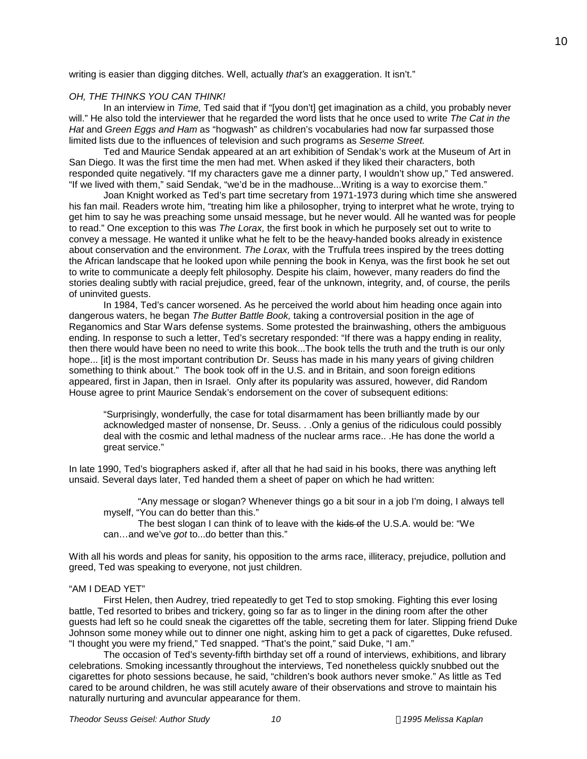writing is easier than digging ditches. Well, actually *that's* an exaggeration. It isn't."

# *OH, THE THINKS YOU CAN THINK!*

In an interview in *Time,* Ted said that if "[you don't] get imagination as a child, you probably never will." He also told the interviewer that he regarded the word lists that he once used to write *The Cat in the Hat* and *Green Eggs and Ham* as "hogwash" as children's vocabularies had now far surpassed those limited lists due to the influences of television and such programs as *Seseme Street.*

Ted and Maurice Sendak appeared at an art exhibition of Sendak's work at the Museum of Art in San Diego. It was the first time the men had met. When asked if they liked their characters, both responded quite negatively. "If my characters gave me a dinner party, I wouldn't show up," Ted answered. "If we lived with them," said Sendak, "we'd be in the madhouse...Writing is a way to exorcise them."

Joan Knight worked as Ted's part time secretary from 1971-1973 during which time she answered his fan mail. Readers wrote him, "treating him like a philosopher, trying to interpret what he wrote, trying to get him to say he was preaching some unsaid message, but he never would. All he wanted was for people to read." One exception to this was *The Lorax,* the first book in which he purposely set out to write to convey a message. He wanted it unlike what he felt to be the heavy-handed books already in existence about conservation and the environment. *The Lorax,* with the Truffula trees inspired by the trees dotting the African landscape that he looked upon while penning the book in Kenya, was the first book he set out to write to communicate a deeply felt philosophy. Despite his claim, however, many readers do find the stories dealing subtly with racial prejudice, greed, fear of the unknown, integrity, and, of course, the perils of uninvited guests.

In 1984, Ted's cancer worsened. As he perceived the world about him heading once again into dangerous waters, he began *The Butter Battle Book,* taking a controversial position in the age of Reganomics and Star Wars defense systems. Some protested the brainwashing, others the ambiguous ending. In response to such a letter, Ted's secretary responded: "If there was a happy ending in reality, then there would have been no need to write this book...The book tells the truth and the truth is our only hope... [it] is the most important contribution Dr. Seuss has made in his many years of giving children something to think about." The book took off in the U.S. and in Britain, and soon foreign editions appeared, first in Japan, then in Israel. Only after its popularity was assured, however, did Random House agree to print Maurice Sendak's endorsement on the cover of subsequent editions:

"Surprisingly, wonderfully, the case for total disarmament has been brilliantly made by our acknowledged master of nonsense, Dr. Seuss. . .Only a genius of the ridiculous could possibly deal with the cosmic and lethal madness of the nuclear arms race.. .He has done the world a great service."

In late 1990, Ted's biographers asked if, after all that he had said in his books, there was anything left unsaid. Several days later, Ted handed them a sheet of paper on which he had written:

"Any message or slogan? Whenever things go a bit sour in a job I'm doing, I always tell myself, "You can do better than this."

The best slogan I can think of to leave with the kids of the U.S.A. would be: "We can…and we've *got* to...do better than this."

With all his words and pleas for sanity, his opposition to the arms race, illiteracy, prejudice, pollution and greed, Ted was speaking to everyone, not just children.

## "AM I DEAD YET"

First Helen, then Audrey, tried repeatedly to get Ted to stop smoking. Fighting this ever losing battle, Ted resorted to bribes and trickery, going so far as to linger in the dining room after the other guests had left so he could sneak the cigarettes off the table, secreting them for later. Slipping friend Duke Johnson some money while out to dinner one night, asking him to get a pack of cigarettes, Duke refused. "I thought you were my friend," Ted snapped. "That's the point," said Duke, "I am."

The occasion of Ted's seventy-fifth birthday set off a round of interviews, exhibitions, and library celebrations. Smoking incessantly throughout the interviews, Ted nonetheless quickly snubbed out the cigarettes for photo sessions because, he said, "children's book authors never smoke." As little as Ted cared to be around children, he was still acutely aware of their observations and strove to maintain his naturally nurturing and avuncular appearance for them.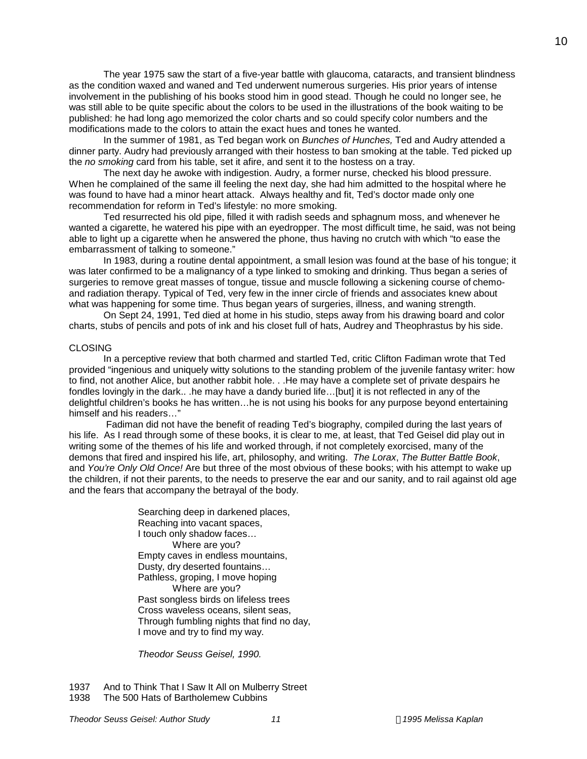The year 1975 saw the start of a five-year battle with glaucoma, cataracts, and transient blindness as the condition waxed and waned and Ted underwent numerous surgeries. His prior years of intense involvement in the publishing of his books stood him in good stead. Though he could no longer see, he was still able to be quite specific about the colors to be used in the illustrations of the book waiting to be published: he had long ago memorized the color charts and so could specify color numbers and the modifications made to the colors to attain the exact hues and tones he wanted.

In the summer of 1981, as Ted began work on *Bunches of Hunches,* Ted and Audry attended a dinner party. Audry had previously arranged with their hostess to ban smoking at the table. Ted picked up the *no smoking* card from his table, set it afire, and sent it to the hostess on a tray.

The next day he awoke with indigestion. Audry, a former nurse, checked his blood pressure. When he complained of the same ill feeling the next day, she had him admitted to the hospital where he was found to have had a minor heart attack. Always healthy and fit, Ted's doctor made only one recommendation for reform in Ted's lifestyle: no more smoking.

Ted resurrected his old pipe, filled it with radish seeds and sphagnum moss, and whenever he wanted a cigarette, he watered his pipe with an eyedropper. The most difficult time, he said, was not being able to light up a cigarette when he answered the phone, thus having no crutch with which "to ease the embarrassment of talking to someone."

In 1983, during a routine dental appointment, a small lesion was found at the base of his tongue; it was later confirmed to be a malignancy of a type linked to smoking and drinking. Thus began a series of surgeries to remove great masses of tongue, tissue and muscle following a sickening course of chemoand radiation therapy. Typical of Ted, very few in the inner circle of friends and associates knew about what was happening for some time. Thus began years of surgeries, illness, and waning strength.

On Sept 24, 1991, Ted died at home in his studio, steps away from his drawing board and color charts, stubs of pencils and pots of ink and his closet full of hats, Audrey and Theophrastus by his side.

## CLOSING

In a perceptive review that both charmed and startled Ted, critic Clifton Fadiman wrote that Ted provided "ingenious and uniquely witty solutions to the standing problem of the juvenile fantasy writer: how to find, not another Alice, but another rabbit hole. . .He may have a complete set of private despairs he fondles lovingly in the dark.. .he may have a dandy buried life...[but] it is not reflected in any of the delightful children's books he has written…he is not using his books for any purpose beyond entertaining himself and his readers…"

Fadiman did not have the benefit of reading Ted's biography, compiled during the last years of his life. As I read through some of these books, it is clear to me, at least, that Ted Geisel did play out in writing some of the themes of his life and worked through, if not completely exorcised, many of the demons that fired and inspired his life, art, philosophy, and writing. *The Lorax*, *The Butter Battle Book*, and *You're Only Old Once!* Are but three of the most obvious of these books; with his attempt to wake up the children, if not their parents, to the needs to preserve the ear and our sanity, and to rail against old age and the fears that accompany the betrayal of the body.

> Searching deep in darkened places, Reaching into vacant spaces, I touch only shadow faces… Where are you? Empty caves in endless mountains, Dusty, dry deserted fountains… Pathless, groping, I move hoping Where are you? Past songless birds on lifeless trees Cross waveless oceans, silent seas, Through fumbling nights that find no day, I move and try to find my way.

*Theodor Seuss Geisel, 1990.*

1937 And to Think That I Saw It All on Mulberry Street 1938 The 500 Hats of Bartholemew Cubbins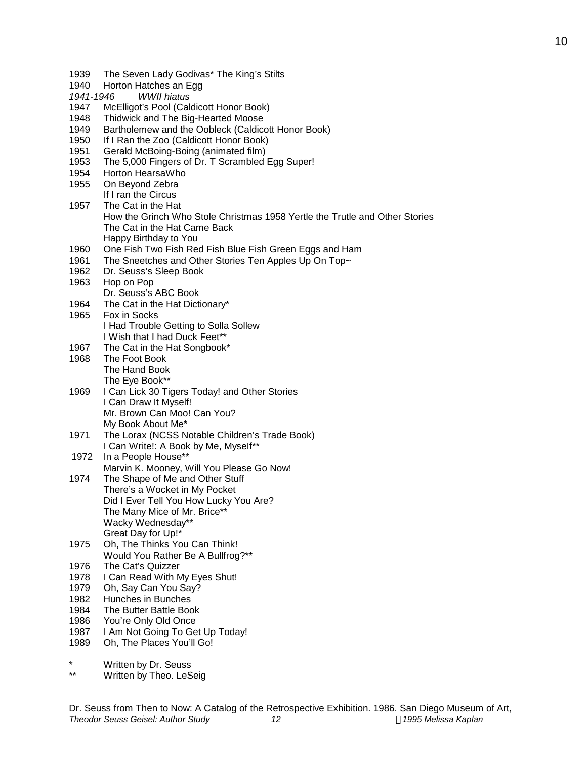Dr. Seuss's ABC Book I Had Trouble Getting to Solla Sollew I Wish that I had Duck Feet\*\* 1967 The Cat in the Hat Songbook\* 1968 The Foot Book The Hand Book The Eye Book\*\* I Can Draw It Myself! Mr. Brown Can Moo! Can You? My Book About Me\* 1971 The Lorax (NCSS Notable Children's Trade Book) I Can Write!: A Book by Me, MyseIf\*\* Marvin K. Mooney, Will You Please Go Now! There's a Wocket in My Pocket Did I Ever Tell You How Lucky You Are? The Many Mice of Mr. Brice\*\* Wacky Wednesday\*\* Great Day for Up!\* Would You Rather Be A Bullfrog?\*\* 1984 The Butter Battle Book 1986 You're Only Old Once 1987 I Am Not Going To Get Up Today! 1989 Oh, The Places You'll Go! \* Written by Dr. Seuss Written by Theo. LeSeig

- 1939 The Seven Lady Godivas\* The King's Stilts
- 1940 Horton Hatches an Egg
- *1941-1946 WWII hiatus*
- 1947 McElligot's Pool (Caldicott Honor Book)
- 1948 Thidwick and The Big-Hearted Moose
- 1949 Bartholemew and the Oobleck (Caldicott Honor Book)
- 1950 If I Ran the Zoo (Caldicott Honor Book)
- 1951 Gerald McBoing-Boing (animated film)
- 1953 The 5,000 Fingers of Dr. T Scrambled Egg Super!
- 1954 Horton HearsaWho
- 1955 On Beyond Zebra If I ran the Circus
- 1957 The Cat in the Hat
- How the Grinch Who Stole Christmas 1958 Yertle the Trutle and Other Stories The Cat in the Hat Came Back
- Happy Birthday to You
- 1960 One Fish Two Fish Red Fish Blue Fish Green Eggs and Ham
- 1961 The Sneetches and Other Stories Ten Apples Up On Top~
- 1962 Dr. Seuss's Sleep Book
- 1963 Hop on Pop
- 1964 The Cat in the Hat Dictionary\*
- 1965 Fox in Socks
- 
- 1969 I Can Lick 30 Tigers Today! and Other Stories
	-
- 
- 1972 In a People House\*\*
- 1974 The Shape of Me and Other Stuff
- 1975 Oh, The Thinks You Can Think!
- 1976 The Cat's Quizzer
- 1978 I Can Read With My Eyes Shut!
- 1979 Oh, Say Can You Say?
- 1982 Hunches in Bunches
- 
- 
- 
- 
- 
-